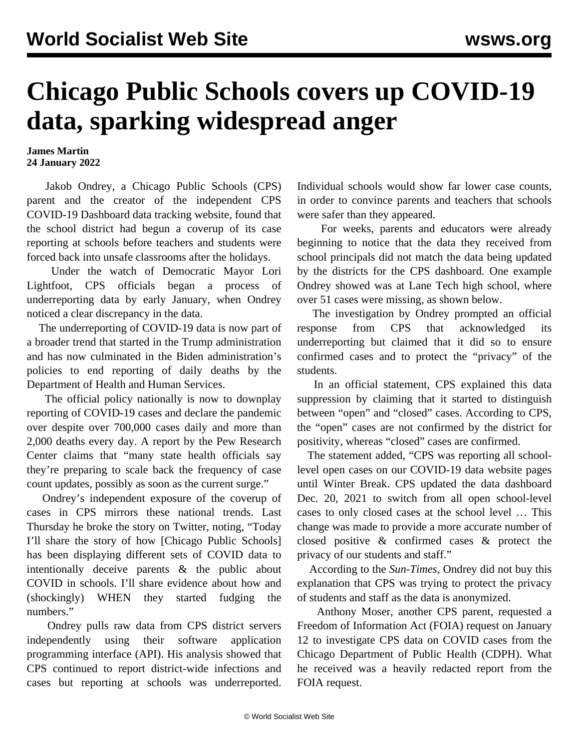## **Chicago Public Schools covers up COVID-19 data, sparking widespread anger**

## **James Martin 24 January 2022**

 Jakob Ondrey, a Chicago Public Schools (CPS) parent and the creator of the independent CPS COVID-19 Dashboard data tracking website, found that the school district had begun a coverup of its case reporting at schools before teachers and students were forced back into unsafe classrooms after the holidays.

 Under the watch of Democratic Mayor Lori Lightfoot, CPS officials began a process of underreporting data by early January, when Ondrey noticed a clear discrepancy in the data.

 The underreporting of COVID-19 data is now part of a broader trend that started in the Trump administration and has now culminated in the Biden administration's policies to [end reporting](/en/articles/2022/01/21/dail-j21.html) of daily deaths by the Department of Health and Human Services.

 The official policy nationally is now to [downplay](/en/articles/2022/01/24/usco-j24.html) [reporting](/en/articles/2022/01/24/usco-j24.html) of COVID-19 cases and declare the pandemic over despite over 700,000 cases daily and more than 2,000 deaths every day. A report by the Pew Research Center claims that "many state health officials say they're preparing to scale back the frequency of case count updates, possibly as soon as the current surge."

 Ondrey's independent exposure of the coverup of cases in CPS mirrors these national trends. Last Thursday he broke the story on Twitter, noting, "Today I'll share the story of how [Chicago Public Schools] has been displaying different sets of COVID data to intentionally deceive parents & the public about COVID in schools. I'll share evidence about how and (shockingly) WHEN they started fudging the numbers."

 Ondrey pulls raw data from CPS district servers independently using their software application programming interface (API). His analysis showed that CPS continued to report district-wide infections and cases but reporting at schools was underreported. Individual schools would show far lower case counts, in order to convince parents and teachers that schools were safer than they appeared.

 For weeks, parents and educators were already beginning to notice that the data they received from school principals did not match the data being updated by the districts for the CPS dashboard. One example Ondrey showed was at Lane Tech high school, where over 51 cases were missing, as shown below.

 The investigation by Ondrey prompted an official response from CPS that acknowledged its underreporting but claimed that it did so to ensure confirmed cases and to protect the "privacy" of the students.

 In an official statement, CPS explained this data suppression by claiming that it started to distinguish between "open" and "closed" cases. According to CPS, the "open" cases are not confirmed by the district for positivity, whereas "closed" cases are confirmed.

 The statement added, "CPS was reporting all schoollevel open cases on our COVID-19 data website pages until Winter Break. CPS updated the data dashboard Dec. 20, 2021 to switch from all open school-level cases to only closed cases at the school level … This change was made to provide a more accurate number of closed positive & confirmed cases & protect the privacy of our students and staff."

 According to the *Sun-Times*, Ondrey did not buy this explanation that CPS was trying to protect the privacy of students and staff as the data is anonymized.

 Anthony Moser, another CPS parent, requested a Freedom of Information Act (FOIA) request on January 12 to investigate CPS data on COVID cases from the Chicago Department of Public Health (CDPH). What he received was a heavily redacted report from the FOIA request.